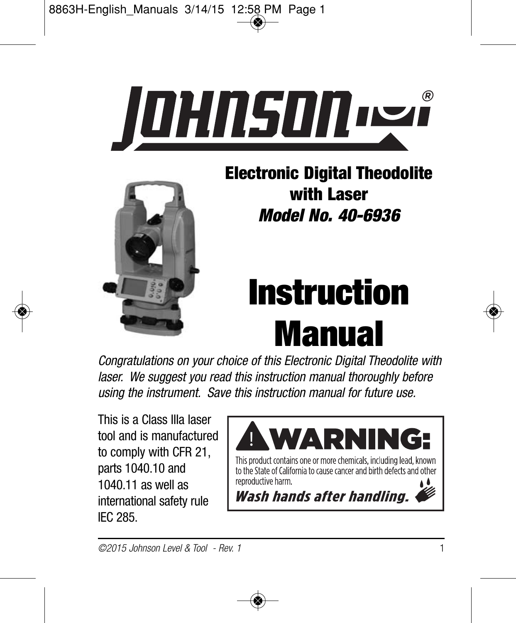



**Electronic Digital Theodolite with Laser** *Model No. 40-6936*

# **Instruction Manual**

*Congratulations on your choice of this Electronic Digital Theodolite with laser. We suggest you read this instruction manual thoroughly before using the instrument. Save this instruction manual for future use.*

This is a Class IIIa laser tool and is manufactured to comply with CFR 21, parts 1040.10 and 1040.11 as well as international safety rule IEC 285.

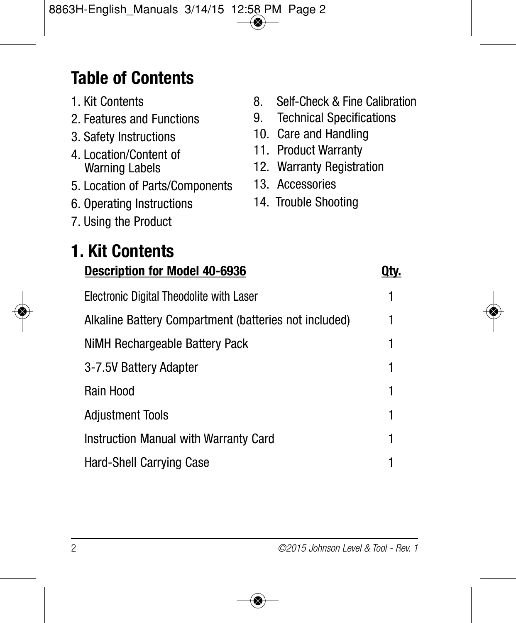### **Table of Contents**

- 1. Kit Contents
- 2. Features and Functions
- 3. Safety Instructions
- 4. Location/Content of Warning Labels
- 5. Location of Parts/Components
- 6. Operating Instructions
- 8. Self-Check & Fine Calibration
- 9. Technical Specifications
- 10. Care and Handling
- 11. Product Warranty
- 12. Warranty Registration
- 13. Accessories
- 14. Trouble Shooting

- 7. Using the Product
- **1. Kit Contents Description for Model 40-6936 Qty.** Electronic Digital Theodolite with Laser 1 Alkaline Battery Compartment (batteries not included) 1 NiMH Rechargeable Battery Pack 1 3-7.5V Battery Adapter 1 Rain Hood 1 Adjustment Tools 1 Instruction Manual with Warranty Card Hard-Shell Carrying Case 1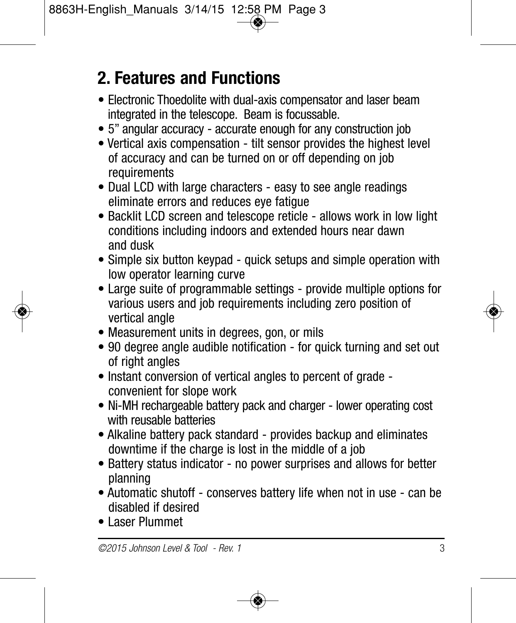### **2. Features and Functions**

- Electronic Thoedolite with dual-axis compensator and laser beam integrated in the telescope. Beam is focussable.
- 5" angular accuracy accurate enough for any construction job
- Vertical axis compensation tilt sensor provides the highest level of accuracy and can be turned on or off depending on job requirements
- Dual LCD with large characters easy to see angle readings eliminate errors and reduces eye fatigue
- Backlit LCD screen and telescope reticle allows work in low light conditions including indoors and extended hours near dawn and dusk
- Simple six button keypad quick setups and simple operation with low operator learning curve
- Large suite of programmable settings provide multiple options for various users and job requirements including zero position of vertical angle
- Measurement units in degrees, gon, or mils
- 90 degree angle audible notification for quick turning and set out of right angles
- Instant conversion of vertical angles to percent of grade convenient for slope work
- Ni-MH rechargeable battery pack and charger lower operating cost with reusable batteries
- Alkaline battery pack standard provides backup and eliminates downtime if the charge is lost in the middle of a job
- Battery status indicator no power surprises and allows for better planning
- Automatic shutoff conserves battery life when not in use can be disabled if desired
- Laser Plummet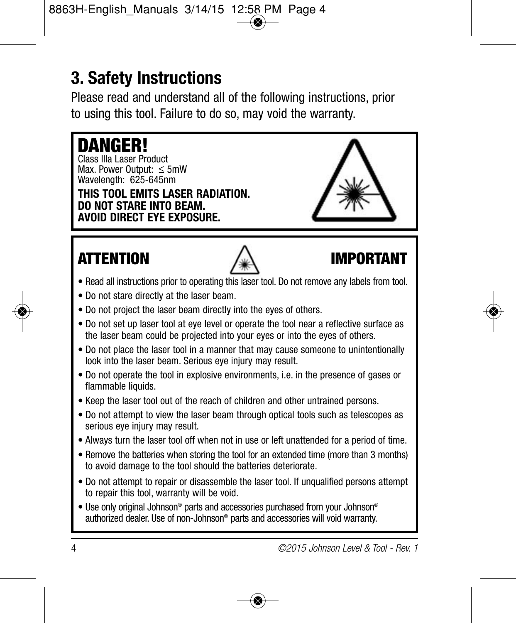### **3. Safety Instructions**

Please read and understand all of the following instructions, prior to using this tool. Failure to do so, may void the warranty.

### **DANGER!** Class IIIa Laser Product Max. Power Output: ≤ 5mW Wavelength: 625-645nm **THIS TOOL EMITS LASER RADIATION. DO NOT STARE INTO BEAM. AVOID DIRECT EYE EXPOSURE. ATTENTION IMPORTANT**

- Read all instructions prior to operating this laser tool. Do not remove any labels from tool.
- Do not stare directly at the laser beam.
- Do not project the laser beam directly into the eyes of others.
- Do not set up laser tool at eye level or operate the tool near a reflective surface as the laser beam could be projected into your eyes or into the eyes of others.
- Do not place the laser tool in a manner that may cause someone to unintentionally look into the laser beam. Serious eye injury may result.
- Do not operate the tool in explosive environments, i.e. in the presence of gases or flammable liquids.
- Keep the laser tool out of the reach of children and other untrained persons.
- Do not attempt to view the laser beam through optical tools such as telescopes as serious eve injury may result.
- Always turn the laser tool off when not in use or left unattended for a period of time.
- Remove the batteries when storing the tool for an extended time (more than 3 months) to avoid damage to the tool should the batteries deteriorate.
- Do not attempt to repair or disassemble the laser tool. If unqualified persons attempt to repair this tool, warranty will be void.
- Use only original Johnson® parts and accessories purchased from your Johnson® authorized dealer. Use of non-Johnson® parts and accessories will void warranty.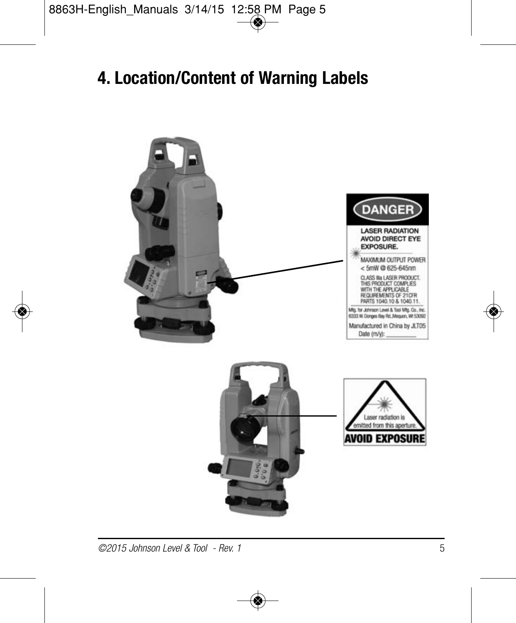### **4. Location/Content of Warning Labels**

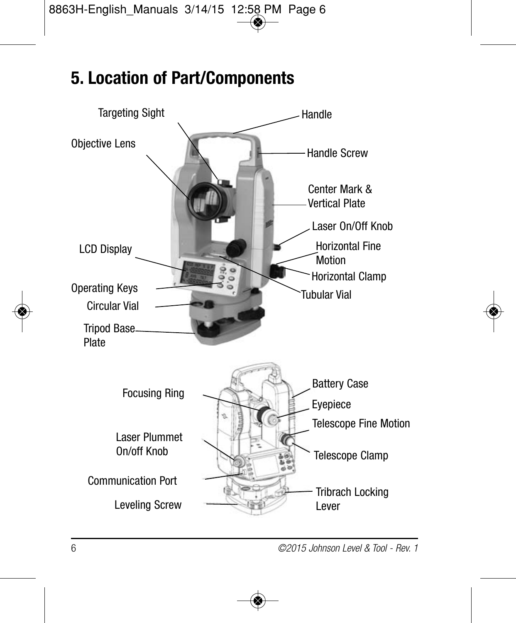### **5. Location of Part/Components**

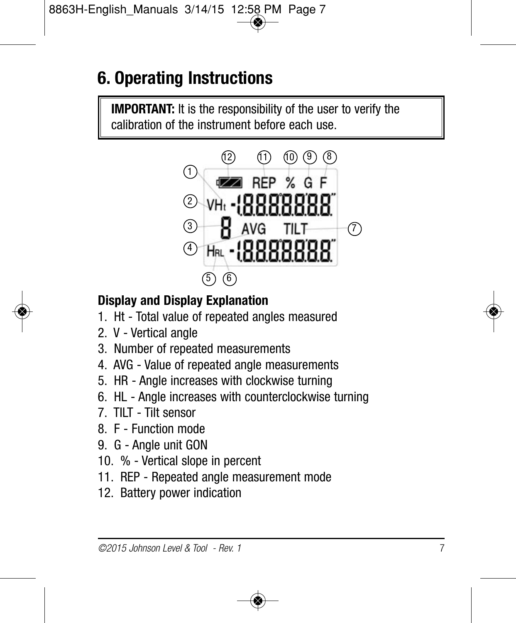### **6. Operating Instructions**

**IMPORTANT:** It is the responsibility of the user to verify the calibration of the instrument before each use.



#### **Display and Display Explanation**

- 1. Ht Total value of repeated angles measured
- 2. V Vertical angle
- 3. Number of repeated measurements
- 4. AVG Value of repeated angle measurements
- 5. HR Angle increases with clockwise turning
- 6. HL Angle increases with counterclockwise turning
- 7. TILT Tilt sensor
- 8. F Function mode
- 9. G Angle unit GON
- 10. % Vertical slope in percent
- 11. REP Repeated angle measurement mode
- 12. Battery power indication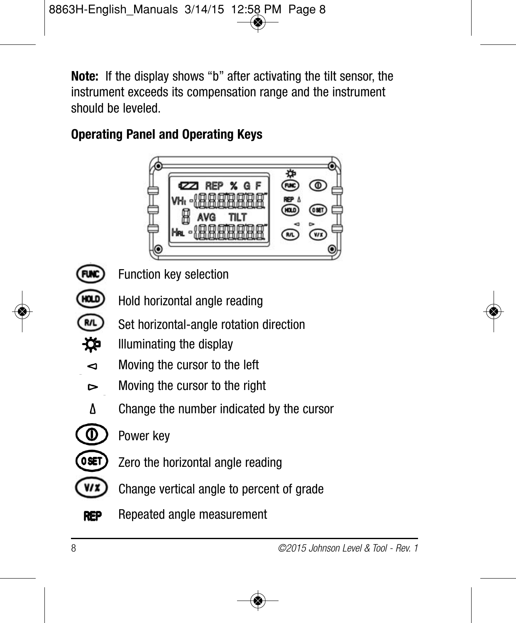**Note:** If the display shows "b" after activating the tilt sensor, the instrument exceeds its compensation range and the instrument should be leveled.

### **Operating Panel and Operating Keys**



**FUN** HOLD

Function key selection

- Hold horizontal angle reading
- **R/L** Set horizontal-angle rotation direction
- ₩. Illuminating the display
- Moving the cursor to the left ◅
- V Moving the cursor to the right
- Δ Change the number indicated by the cursor
- ◑  $0$ SET
	-

Power key

- Zero the horizontal angle reading
- $V/Z$ Change vertical angle to percent of grade
- **REP** Repeated angle measurement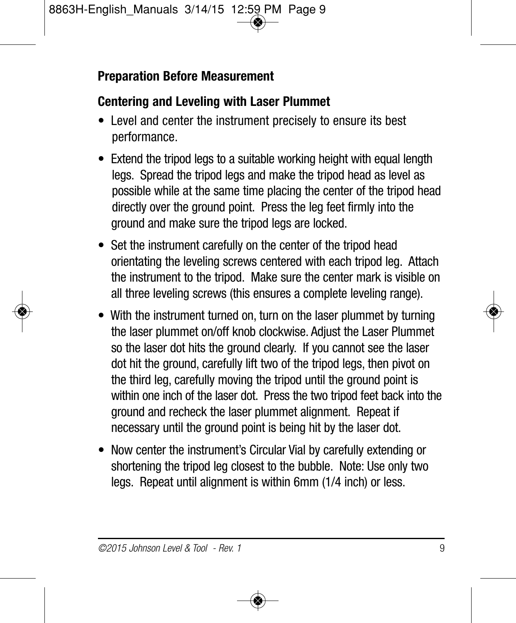#### **Preparation Before Measurement**

#### **Centering and Leveling with Laser Plummet**

- Level and center the instrument precisely to ensure its best performance.
- Extend the tripod legs to a suitable working height with equal length legs. Spread the tripod legs and make the tripod head as level as possible while at the same time placing the center of the tripod head directly over the ground point. Press the leg feet firmly into the ground and make sure the tripod legs are locked.
- Set the instrument carefully on the center of the tripod head orientating the leveling screws centered with each tripod leg. Attach the instrument to the tripod. Make sure the center mark is visible on all three leveling screws (this ensures a complete leveling range).
- With the instrument turned on, turn on the laser plummet by turning the laser plummet on/off knob clockwise. Adjust the Laser Plummet so the laser dot hits the ground clearly. If you cannot see the laser dot hit the ground, carefully lift two of the tripod legs, then pivot on the third leg, carefully moving the tripod until the ground point is within one inch of the laser dot. Press the two tripod feet back into the ground and recheck the laser plummet alignment. Repeat if necessary until the ground point is being hit by the laser dot.
- Now center the instrument's Circular Vial by carefully extending or shortening the tripod leg closest to the bubble. Note: Use only two legs. Repeat until alignment is within 6mm (1/4 inch) or less.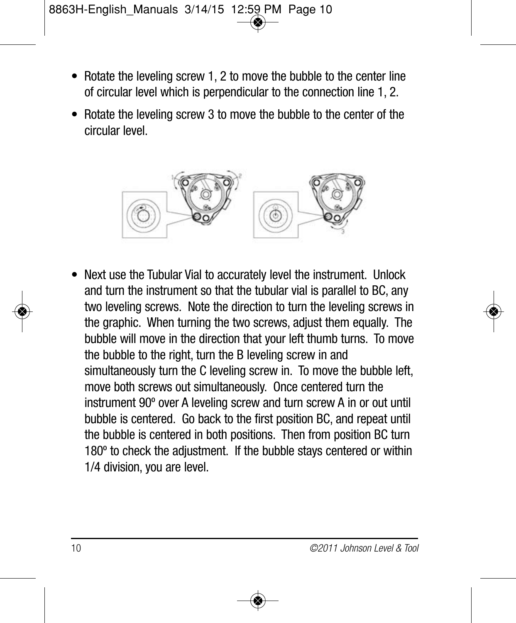- Rotate the leveling screw 1, 2 to move the bubble to the center line of circular level which is perpendicular to the connection line 1, 2.
- Rotate the leveling screw 3 to move the bubble to the center of the circular level.



• Next use the Tubular Vial to accurately level the instrument. Unlock and turn the instrument so that the tubular vial is parallel to BC, any two leveling screws. Note the direction to turn the leveling screws in the graphic. When turning the two screws, adjust them equally. The bubble will move in the direction that your left thumb turns. To move the bubble to the right, turn the B leveling screw in and simultaneously turn the C leveling screw in. To move the bubble left, move both screws out simultaneously. Once centered turn the instrument 90º over A leveling screw and turn screw A in or out until bubble is centered. Go back to the first position BC, and repeat until the bubble is centered in both positions. Then from position BC turn 180º to check the adjustment. If the bubble stays centered or within 1/4 division, you are level.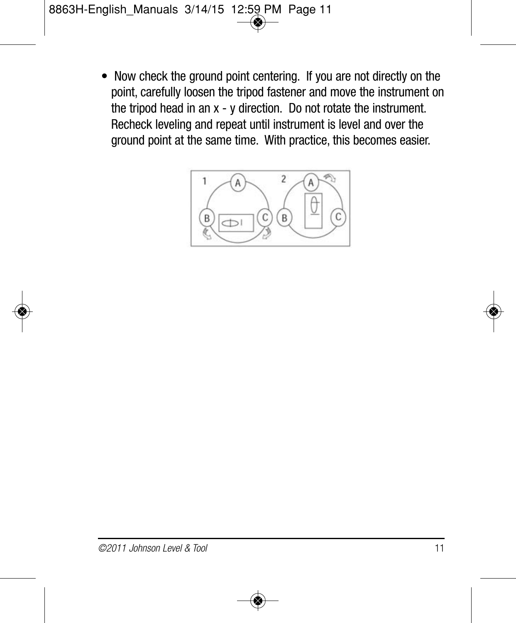• Now check the ground point centering. If you are not directly on the point, carefully loosen the tripod fastener and move the instrument on the tripod head in an x - y direction. Do not rotate the instrument. Recheck leveling and repeat until instrument is level and over the ground point at the same time. With practice, this becomes easier.

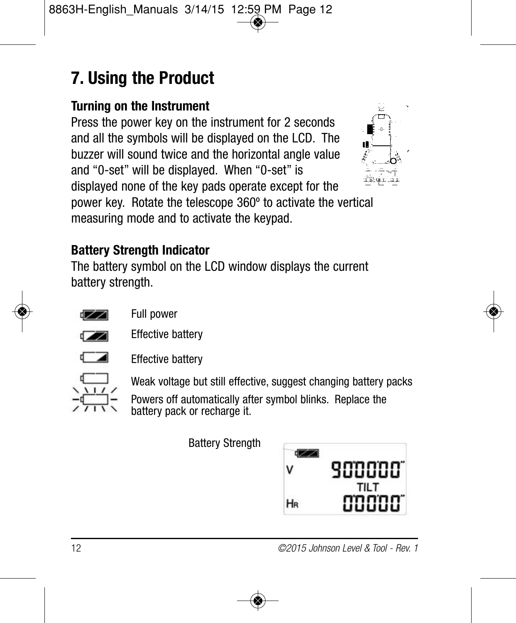### **7. Using the Product**

#### **Turning on the Instrument**

Press the power key on the instrument for 2 seconds and all the symbols will be displayed on the LCD. The buzzer will sound twice and the horizontal angle value and "0-set" will be displayed. When "0-set" is displayed none of the key pads operate except for the power key. Rotate the telescope 360º to activate the vertical measuring mode and to activate the keypad.



#### **Battery Strength Indicator**

The battery symbol on the LCD window displays the current battery strength.



Full power



Effective battery



Effective battery

Weak voltage but still effective, suggest changing battery packs

Powers off automatically after symbol blinks. Replace the battery pack or recharge it.

Battery Strength

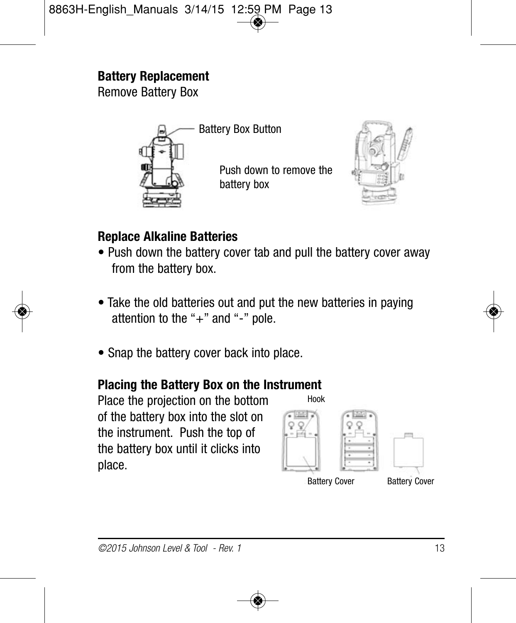#### **Battery Replacement**

Remove Battery Box



Battery Box Button

Push down to remove the battery box



#### **Replace Alkaline Batteries**

- Push down the battery cover tab and pull the battery cover away from the battery box.
- Take the old batteries out and put the new batteries in paying attention to the " $+$ " and " $-$ " pole.
- Snap the battery cover back into place.

#### **Placing the Battery Box on the Instrument**

Place the projection on the bottom of the battery box into the slot on the instrument. Push the top of the battery box until it clicks into place.

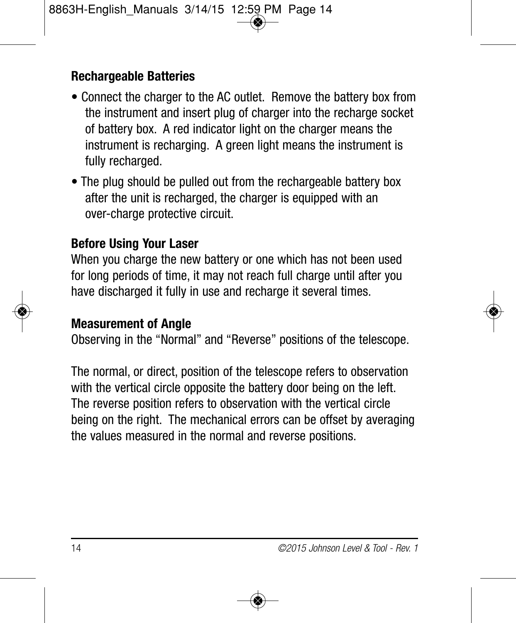#### **Rechargeable Batteries**

- Connect the charger to the AC outlet. Remove the battery box from the instrument and insert plug of charger into the recharge socket of battery box. A red indicator light on the charger means the instrument is recharging. A green light means the instrument is fully recharged.
- The plug should be pulled out from the rechargeable battery box after the unit is recharged, the charger is equipped with an over-charge protective circuit.

#### **Before Using Your Laser**

When you charge the new battery or one which has not been used for long periods of time, it may not reach full charge until after you have discharged it fully in use and recharge it several times.

#### **Measurement of Angle**

Observing in the "Normal" and "Reverse" positions of the telescope.

The normal, or direct, position of the telescope refers to observation with the vertical circle opposite the battery door being on the left. The reverse position refers to observation with the vertical circle being on the right. The mechanical errors can be offset by averaging the values measured in the normal and reverse positions.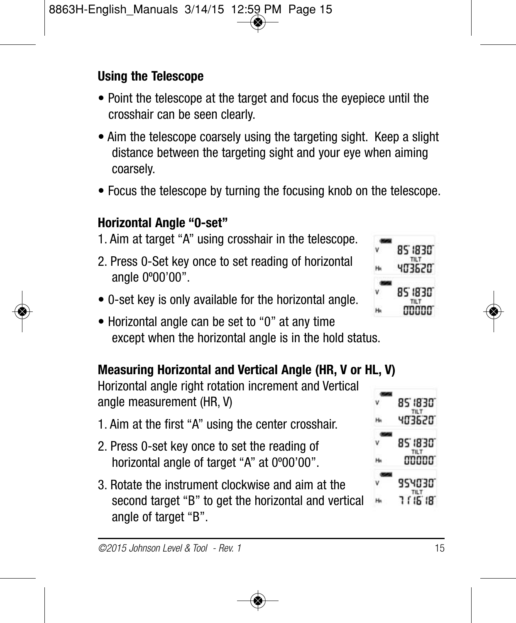#### **Using the Telescope**

- Point the telescope at the target and focus the eyepiece until the crosshair can be seen clearly.
- Aim the telescope coarsely using the targeting sight. Keep a slight distance between the targeting sight and your eye when aiming coarsely.
- Focus the telescope by turning the focusing knob on the telescope.

#### **Horizontal Angle "0-set"**

- 1. Aim at target "A" using crosshair in the telescope.
- 2. Press 0-Set key once to set reading of horizontal angle 0º00'00".
- 0-set key is only available for the horizontal angle.
- Horizontal angle can be set to "0" at any time except when the horizontal angle is in the hold status.

#### **Measuring Horizontal and Vertical Angle (HR, V or HL, V)**

Horizontal angle right rotation increment and Vertical angle measurement (HR, V)

- 1. Aim at the first "A" using the center crosshair.
- 2. Press 0-set key once to set the reading of horizontal angle of target "A" at 0°00'00".
- 3. Rotate the instrument clockwise and aim at the second target "B" to get the horizontal and vertical angle of target "B".





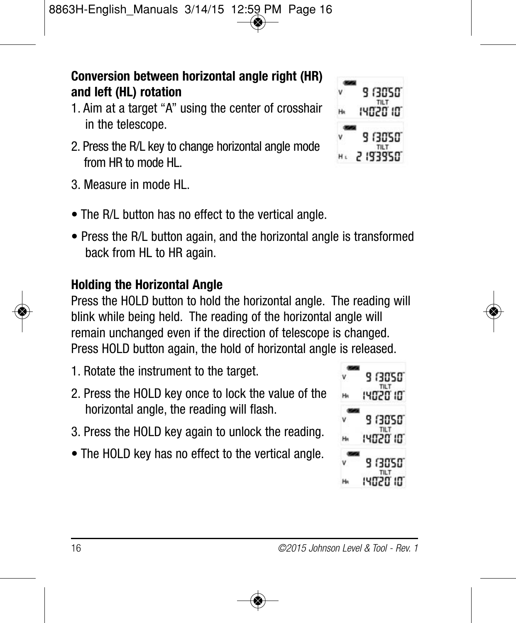#### **Conversion between horizontal angle right (HR) and left (HL) rotation**

- 1. Aim at a target "A" using the center of crosshair in the telescope.
- 2. Press the R/L key to change horizontal angle mode from HR to mode HL.
- 3. Measure in mode HL.
- The R/L button has no effect to the vertical angle.
- Press the R/L button again, and the horizontal angle is transformed back from HL to HR again.

#### **Holding the Horizontal Angle**

Press the HOLD button to hold the horizontal angle. The reading will blink while being held. The reading of the horizontal angle will remain unchanged even if the direction of telescope is changed. Press HOLD button again, the hold of horizontal angle is released.

- 1. Rotate the instrument to the target.
- 2. Press the HOLD key once to lock the value of the horizontal angle, the reading will flash.
- 3. Press the HOLD key again to unlock the reading.
- The HOLD key has no effect to the vertical angle.



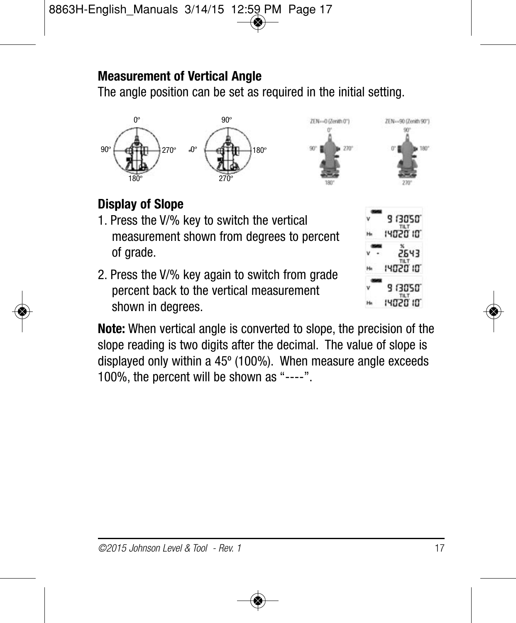#### **Measurement of Vertical Angle**

The angle position can be set as required in the initial setting.



#### **Display of Slope**

- 1. Press the V/% key to switch the vertical measurement shown from degrees to percent of grade.
- 2. Press the V/% key again to switch from grade percent back to the vertical measurement shown in degrees.



**Note:** When vertical angle is converted to slope, the precision of the slope reading is two digits after the decimal. The value of slope is displayed only within a 45º (100%). When measure angle exceeds 100%, the percent will be shown as "----".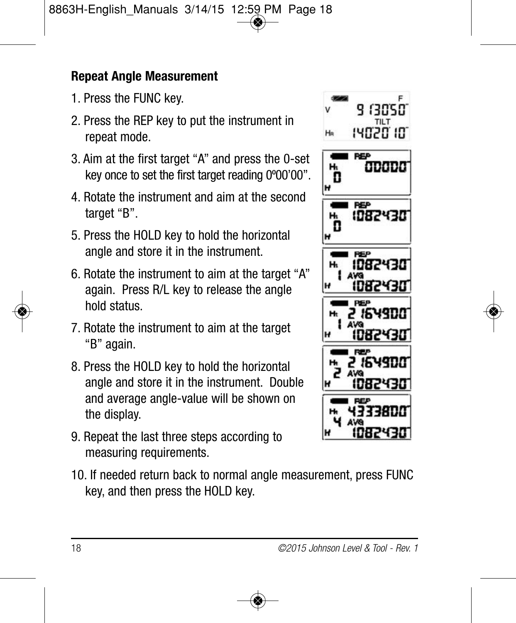#### **Repeat Angle Measurement**

- 1. Press the FUNC key.
- 2. Press the REP key to put the instrument in repeat mode.
- 3. Aim at the first target "A" and press the 0-set key once to set the first target reading 0º00'00".
- 4. Rotate the instrument and aim at the second target "B".
- 5. Press the HOLD key to hold the horizontal angle and store it in the instrument.
- 6. Rotate the instrument to aim at the target "A" again. Press R/L key to release the angle hold status.
- 7. Rotate the instrument to aim at the target "B" again.
- 8. Press the HOLD key to hold the horizontal angle and store it in the instrument. Double and average angle-value will be shown on the display.
- 9. Repeat the last three steps according to measuring requirements.
- 10. If needed return back to normal angle measurement, press FUNC key, and then press the HOLD key.

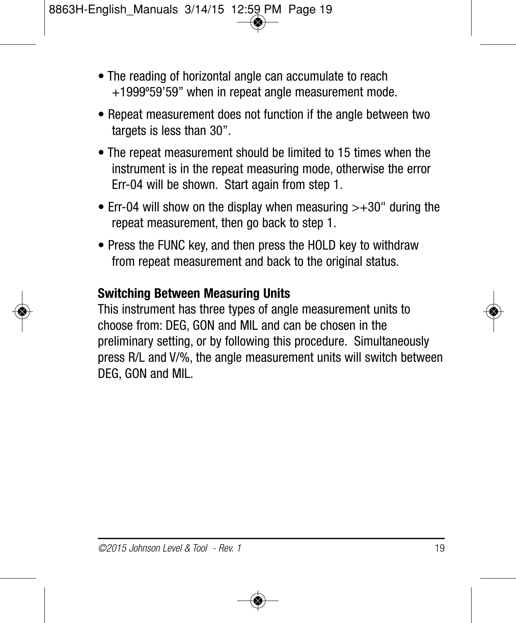- The reading of horizontal angle can accumulate to reach +1999º59'59" when in repeat angle measurement mode.
- Repeat measurement does not function if the angle between two targets is less than 30".
- The repeat measurement should be limited to 15 times when the instrument is in the repeat measuring mode, otherwise the error Err-04 will be shown. Start again from step 1.
- Err-04 will show on the display when measuring  $> +30$ " during the repeat measurement, then go back to step 1.
- Press the FUNC key, and then press the HOLD key to withdraw from repeat measurement and back to the original status.

#### **Switching Between Measuring Units**

This instrument has three types of angle measurement units to choose from: DEG, GON and MIL and can be chosen in the preliminary setting, or by following this procedure. Simultaneously press R/L and V/%, the angle measurement units will switch between DEG, GON and MIL.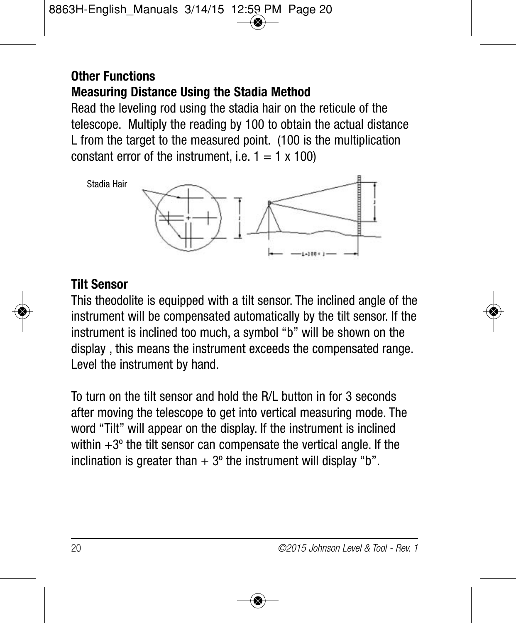#### **Other Functions Measuring Distance Using the Stadia Method**

Read the leveling rod using the stadia hair on the reticule of the telescope. Multiply the reading by 100 to obtain the actual distance L from the target to the measured point. (100 is the multiplication constant error of the instrument, i.e.  $1 = 1 \times 100$ )



#### **Tilt Sensor**

This theodolite is equipped with a tilt sensor. The inclined angle of the instrument will be compensated automatically by the tilt sensor. If the instrument is inclined too much, a symbol "b" will be shown on the display , this means the instrument exceeds the compensated range. Level the instrument by hand.

To turn on the tilt sensor and hold the R/L button in for 3 seconds after moving the telescope to get into vertical measuring mode. The word "Tilt" will appear on the display. If the instrument is inclined within  $+3^{\circ}$  the tilt sensor can compensate the vertical angle. If the inclination is greater than  $+3^{\circ}$  the instrument will display "b".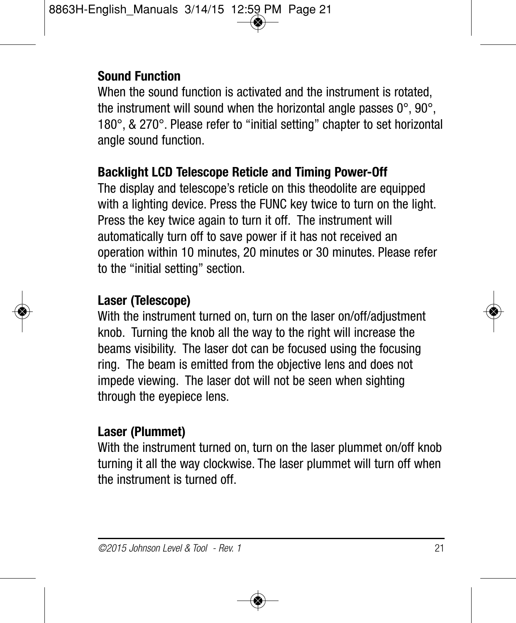#### **Sound Function**

When the sound function is activated and the instrument is rotated. the instrument will sound when the horizontal angle passes  $0^\circ$ ,  $90^\circ$ , 180°, & 270°. Please refer to "initial setting" chapter to set horizontal angle sound function.

#### **Backlight LCD Telescope Reticle and Timing Power-Off**

The display and telescope's reticle on this theodolite are equipped with a lighting device. Press the FUNC key twice to turn on the light. Press the key twice again to turn it off. The instrument will automatically turn off to save power if it has not received an operation within 10 minutes, 20 minutes or 30 minutes. Please refer to the "initial setting" section.

#### **Laser (Telescope)**

With the instrument turned on, turn on the laser on/off/adjustment knob. Turning the knob all the way to the right will increase the beams visibility. The laser dot can be focused using the focusing ring. The beam is emitted from the objective lens and does not impede viewing. The laser dot will not be seen when sighting through the eyepiece lens.

#### **Laser (Plummet)**

With the instrument turned on, turn on the laser plummet on/off knob turning it all the way clockwise. The laser plummet will turn off when the instrument is turned off.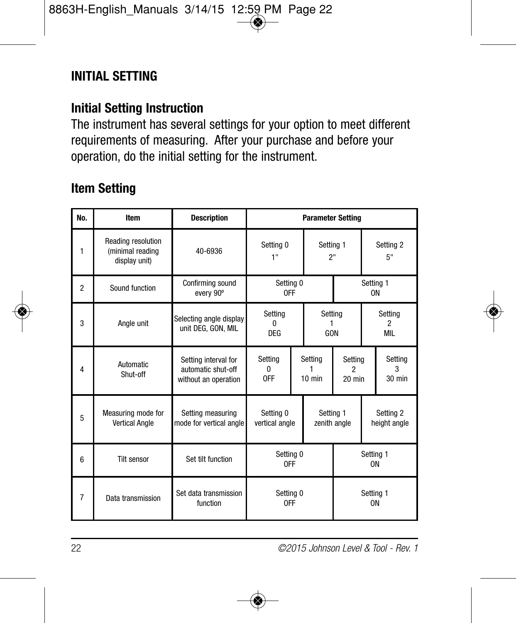#### **INITIAL SETTING**

#### **Initial Setting Instruction**

The instrument has several settings for your option to meet different requirements of measuring. After your purchase and before your operation, do the initial setting for the instrument.

#### **Item Setting**

| No.            | Item                                                    | <b>Description</b>                                                 | <b>Parameter Setting</b>                 |                     |                                           |                          |                            |                        |
|----------------|---------------------------------------------------------|--------------------------------------------------------------------|------------------------------------------|---------------------|-------------------------------------------|--------------------------|----------------------------|------------------------|
| 1              | Reading resolution<br>(minimal reading<br>display unit) | 40-6936                                                            | Setting 0<br>1"                          |                     | Setting 1<br>2"                           |                          | Setting 2<br>5"            |                        |
| $\overline{2}$ | Sound function                                          | Confirming sound<br>every 90°                                      | Setting 0<br>0FF                         |                     | Setting 1<br>0N                           |                          |                            |                        |
| 3              | Angle unit                                              | Selecting angle display<br>unit DEG. GON. MIL                      | Setting<br>n<br>DEG                      |                     | Setting<br>GON                            |                          | Setting<br>2<br><b>MIL</b> |                        |
| 4              | <b>Automatic</b><br>Shut-off                            | Setting interval for<br>automatic shut-off<br>without an operation | Setting<br>n<br>0FF                      | Settina<br>$10$ min |                                           | Settina<br>2<br>$20$ min |                            | Setting<br>3<br>30 min |
| 5              | Measuring mode for<br><b>Vertical Angle</b>             | Setting measuring<br>mode for vertical angle                       | Setting 0<br>Setting 1<br>vertical angle |                     | Setting 2<br>zenith angle<br>height angle |                          |                            |                        |
| 6              | <b>Tilt sensor</b>                                      | Set tilt function                                                  | Setting 0<br>0FF                         |                     | Setting 1<br>0N                           |                          |                            |                        |
| $\overline{7}$ | Data transmission                                       | Set data transmission<br>function                                  | Setting 0<br>0FF                         |                     | Setting 1<br>0N                           |                          |                            |                        |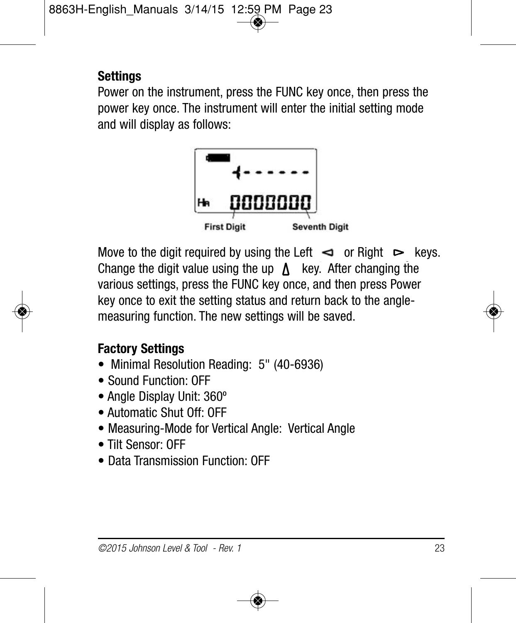#### **Settings**

Power on the instrument, press the FUNC key once, then press the power key once. The instrument will enter the initial setting mode and will display as follows:



Move to the digit required by using the Left  $\leq$  or Right  $\geq$  keys. Change the digit value using the up  $\Lambda$  key. After changing the various settings, press the FUNC key once, and then press Power key once to exit the setting status and return back to the anglemeasuring function. The new settings will be saved.

#### **Factory Settings**

- Minimal Resolution Reading: 5" (40-6936)
- Sound Function: OFF
- Angle Display Unit: 360º
- Automatic Shut Off: OFF
- Measuring-Mode for Vertical Angle: Vertical Angle
- Tilt Sensor: OFF
- Data Transmission Function: OFF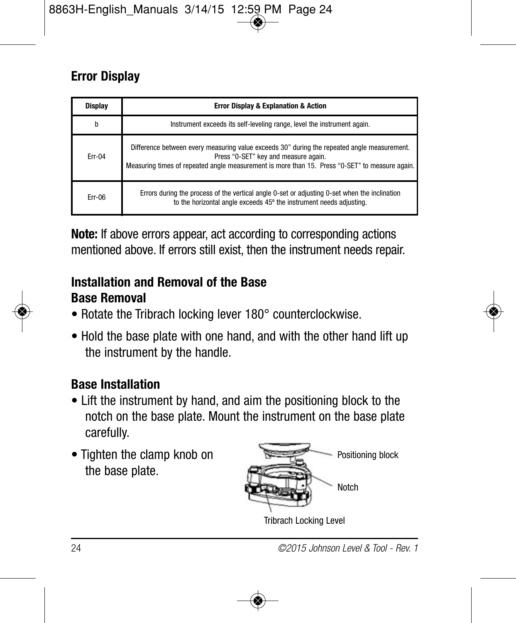#### **Error Display**

| Display  | <b>Error Display &amp; Explanation &amp; Action</b>                                                                                                                                                                                   |
|----------|---------------------------------------------------------------------------------------------------------------------------------------------------------------------------------------------------------------------------------------|
| h        | Instrument exceeds its self-leveling range, level the instrument again.                                                                                                                                                               |
| $Err-04$ | Difference between every measuring value exceeds 30" during the repeated angle measurement.<br>Press "0-SET" key and measure again.<br>Measuring times of repeated angle measurement is more than 15. Press "0-SET" to measure again. |
| Frr-06   | Errors during the process of the vertical angle 0-set or adjusting 0-set when the inclination<br>to the horizontal angle exceeds 45° the instrument needs adjusting.                                                                  |

**Note:** If above errors appear, act according to corresponding actions mentioned above. If errors still exist, then the instrument needs repair.

#### **Installation and Removal of the Base Base Removal**

- Rotate the Tribrach locking lever 180° counterclockwise.
- Hold the base plate with one hand, and with the other hand lift up the instrument by the handle.

#### **Base Installation**

- Lift the instrument by hand, and aim the positioning block to the notch on the base plate. Mount the instrument on the base plate carefully.
- Tighten the clamp knob on the base plate.

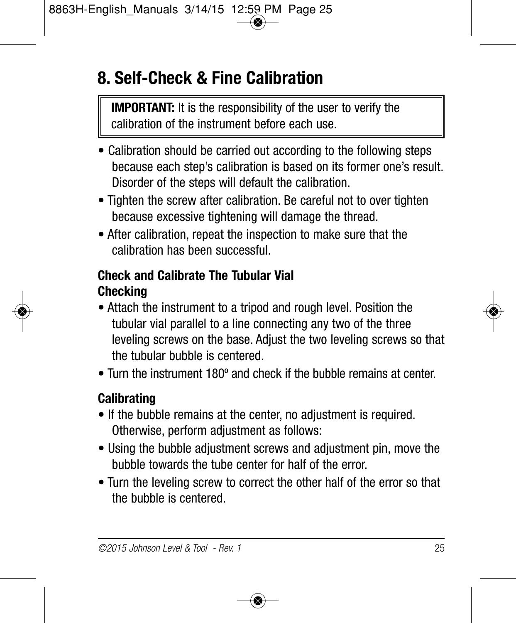### **8. Self-Check & Fine Calibration**

**IMPORTANT:** It is the responsibility of the user to verify the calibration of the instrument before each use.

- Calibration should be carried out according to the following steps because each step's calibration is based on its former one's result. Disorder of the steps will default the calibration.
- Tighten the screw after calibration. Be careful not to over tighten because excessive tightening will damage the thread.
- After calibration, repeat the inspection to make sure that the calibration has been successful.

#### **Check and Calibrate The Tubular Vial Checking**

- Attach the instrument to a tripod and rough level. Position the tubular vial parallel to a line connecting any two of the three leveling screws on the base. Adjust the two leveling screws so that the tubular bubble is centered.
- Turn the instrument 180º and check if the bubble remains at center.

#### **Calibrating**

- If the bubble remains at the center, no adjustment is required. Otherwise, perform adjustment as follows:
- Using the bubble adjustment screws and adjustment pin, move the bubble towards the tube center for half of the error.
- Turn the leveling screw to correct the other half of the error so that the bubble is centered.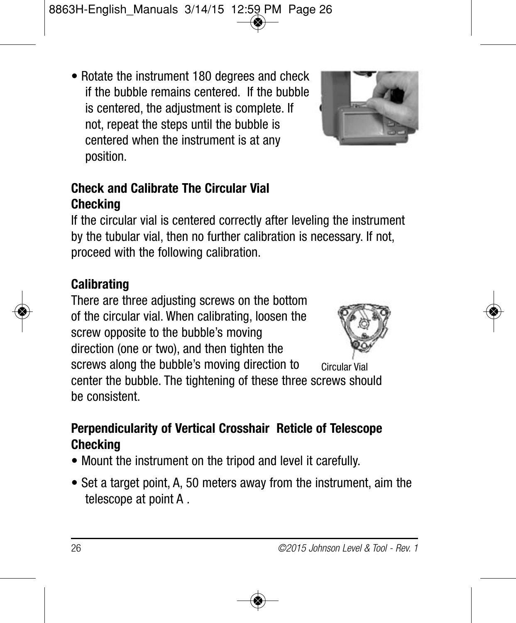• Rotate the instrument 180 degrees and check if the bubble remains centered. If the bubble is centered, the adjustment is complete. If not, repeat the steps until the bubble is centered when the instrument is at any position.

#### **Check and Calibrate The Circular Vial Checking**

If the circular vial is centered correctly after leveling the instrument by the tubular vial, then no further calibration is necessary. If not, proceed with the following calibration.

#### **Calibrating**

There are three adjusting screws on the bottom of the circular vial. When calibrating, loosen the screw opposite to the bubble's moving direction (one or two), and then tighten the



screws along the bubble's moving direction to center the bubble. The tightening of these three screws should be consistent. Circular Vial

#### **Perpendicularity of Vertical Crosshair Reticle of Telescope Checking**

- Mount the instrument on the tripod and level it carefully.
- Set a target point, A, 50 meters away from the instrument, aim the telescope at point A .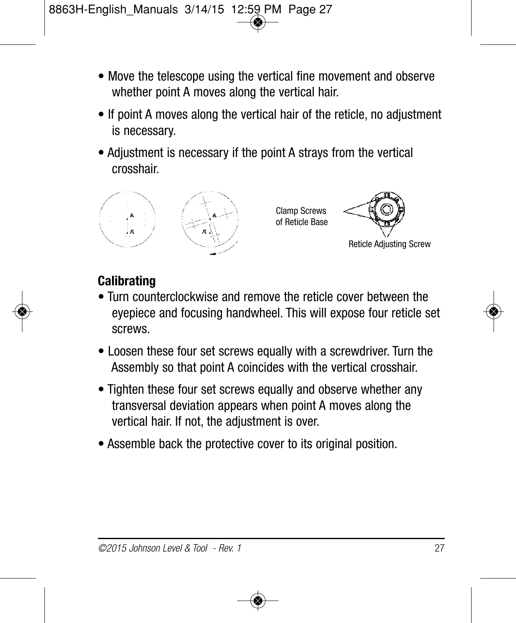- Move the telescope using the vertical fine movement and observe whether point A moves along the vertical hair.
- If point A moves along the vertical hair of the reticle, no adjustment is necessary.
- Adjustment is necessary if the point A strays from the vertical crosshair.



Clamp Screws of Reticle Base Reticle Adjusting Screw

#### **Calibrating**

- Turn counterclockwise and remove the reticle cover between the eyepiece and focusing handwheel. This will expose four reticle set screws.
- Loosen these four set screws equally with a screwdriver. Turn the Assembly so that point A coincides with the vertical crosshair.
- Tighten these four set screws equally and observe whether any transversal deviation appears when point A moves along the vertical hair. If not, the adjustment is over.
- Assemble back the protective cover to its original position.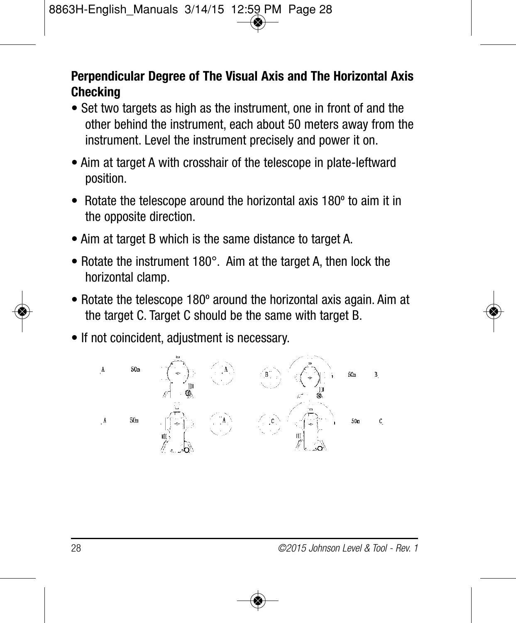#### **Perpendicular Degree of The Visual Axis and The Horizontal Axis Checking**

- Set two targets as high as the instrument, one in front of and the other behind the instrument, each about 50 meters away from the instrument. Level the instrument precisely and power it on.
- Aim at target A with crosshair of the telescope in plate-leftward position.
- Rotate the telescope around the horizontal axis 180º to aim it in the opposite direction.
- Aim at target B which is the same distance to target A.
- Rotate the instrument 180°. Aim at the target A, then lock the horizontal clamp.
- Rotate the telescope 180º around the horizontal axis again. Aim at the target C. Target C should be the same with target B.
- If not coincident, adjustment is necessary.

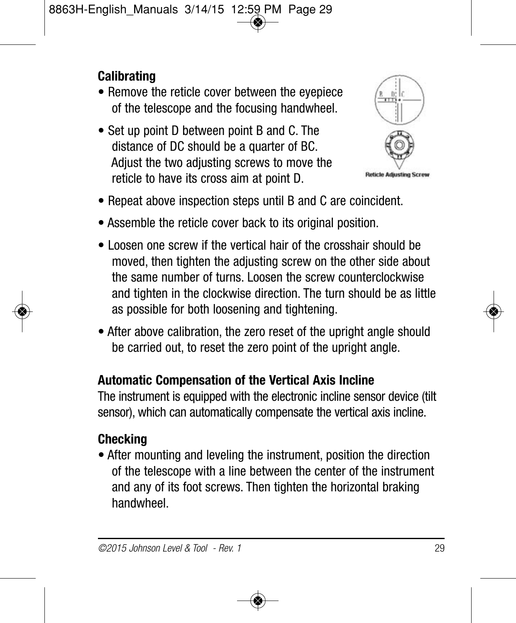#### **Calibrating**

- Remove the reticle cover between the eyepiece of the telescope and the focusing handwheel.
- Set up point D between point B and C. The distance of DC should be a quarter of BC. Adjust the two adjusting screws to move the reticle to have its cross aim at point D.



- Repeat above inspection steps until B and C are coincident.
- Assemble the reticle cover back to its original position.
- Loosen one screw if the vertical hair of the crosshair should be moved, then tighten the adjusting screw on the other side about the same number of turns. Loosen the screw counterclockwise and tighten in the clockwise direction. The turn should be as little as possible for both loosening and tightening.
- After above calibration, the zero reset of the upright angle should be carried out, to reset the zero point of the upright angle.

#### **Automatic Compensation of the Vertical Axis Incline**

The instrument is equipped with the electronic incline sensor device (tilt sensor), which can automatically compensate the vertical axis incline.

#### **Checking**

• After mounting and leveling the instrument, position the direction of the telescope with a line between the center of the instrument and any of its foot screws. Then tighten the horizontal braking handwheel.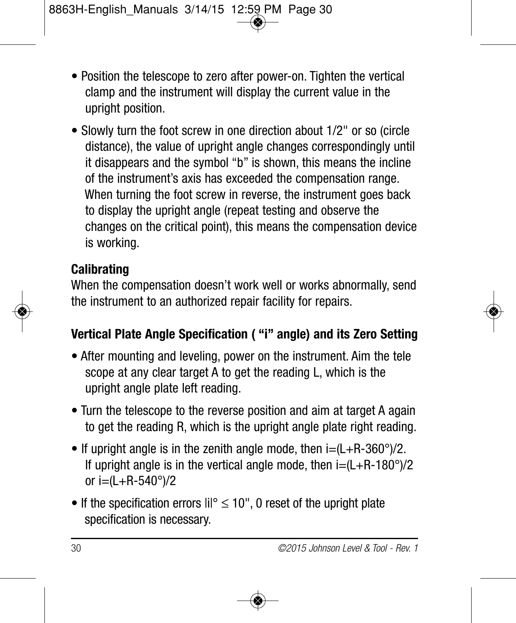- Position the telescope to zero after power-on. Tighten the vertical clamp and the instrument will display the current value in the upright position.
- Slowly turn the foot screw in one direction about 1/2" or so (circle distance), the value of upright angle changes correspondingly until it disappears and the symbol "b" is shown, this means the incline of the instrument's axis has exceeded the compensation range. When turning the foot screw in reverse, the instrument goes back to display the upright angle (repeat testing and observe the changes on the critical point), this means the compensation device is working.

#### **Calibrating**

When the compensation doesn't work well or works abnormally, send the instrument to an authorized repair facility for repairs.

#### **Vertical Plate Angle Specification ( "i" angle) and its Zero Setting**

- After mounting and leveling, power on the instrument. Aim the tele scope at any clear target A to get the reading L, which is the upright angle plate left reading.
- Turn the telescope to the reverse position and aim at target A again to get the reading R, which is the upright angle plate right reading.
- If upright angle is in the zenith angle mode, then  $i=(L+R-360^{\circ})/2$ . If upright angle is in the vertical angle mode, then  $i=(L+R-180^{\circ})/2$ or  $i = (L + R - 540^{\circ})/2$
- If the specification errors  $\text{ii}^{\circ} \leq 10$ ", 0 reset of the upright plate specification is necessary.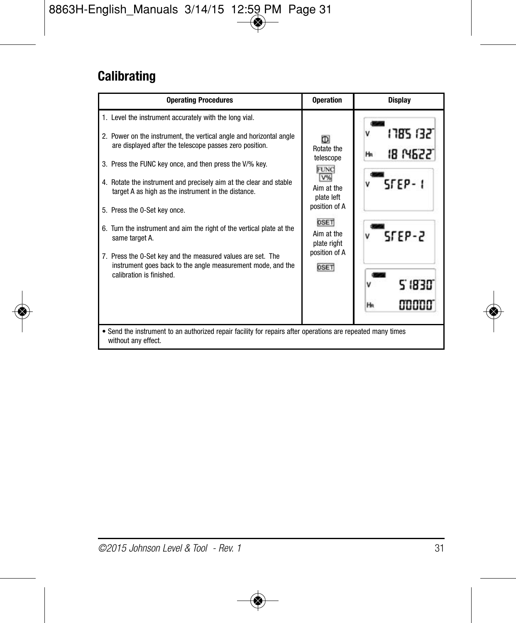### **Calibrating**

| <b>Operating Procedures</b>                                                                                                                                                                                                                                                                                                                                                                                                                                                                                                                                                                                                                                           | <b>Operation</b>                                                                                                                                             | <b>Display</b>                                                                                   |  |  |  |
|-----------------------------------------------------------------------------------------------------------------------------------------------------------------------------------------------------------------------------------------------------------------------------------------------------------------------------------------------------------------------------------------------------------------------------------------------------------------------------------------------------------------------------------------------------------------------------------------------------------------------------------------------------------------------|--------------------------------------------------------------------------------------------------------------------------------------------------------------|--------------------------------------------------------------------------------------------------|--|--|--|
| 1. Level the instrument accurately with the long vial.<br>2. Power on the instrument, the vertical angle and horizontal angle<br>are displayed after the telescope passes zero position.<br>3. Press the FUNC key once, and then press the V/% key.<br>4. Rotate the instrument and precisely aim at the clear and stable<br>target A as high as the instrument in the distance.<br>5. Press the 0-Set key once.<br>6. Turn the instrument and aim the right of the vertical plate at the<br>same target A.<br>7. Press the 0-Set key and the measured values are set. The<br>instrument goes back to the angle measurement mode, and the<br>calibration is finished. | D<br>Rotate the<br>telescope<br><b>FUNC</b><br>V%<br>Aim at the<br>plate left<br>position of A<br>OSET<br>Aim at the<br>plate right<br>position of A<br>OSET | 1785 1321<br><b>18 N6221</b><br>Ha<br>$S$ $F$ $F$ $P - 1$<br>$5$ FEP-2<br>2.1830.<br>aaaaa<br>He |  |  |  |
| • Send the instrument to an authorized repair facility for repairs after operations are repeated many times<br>without any effect.                                                                                                                                                                                                                                                                                                                                                                                                                                                                                                                                    |                                                                                                                                                              |                                                                                                  |  |  |  |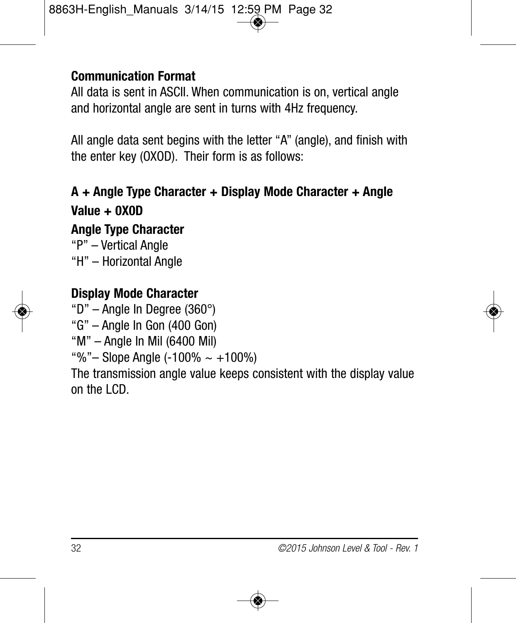#### **Communication Format**

All data is sent in ASCII. When communication is on, vertical angle and horizontal angle are sent in turns with 4Hz frequency.

All angle data sent begins with the letter "A" (angle), and finish with the enter key (OXOD). Their form is as follows:

**A + Angle Type Character + Display Mode Character + Angle Value + 0X0D Angle Type Character**  "P" – Vertical Angle "H" – Horizontal Angle



#### **Display Mode Character**

"D" – Angle In Degree (360°)

"G" – Angle In Gon (400 Gon)

"M" – Angle In Mil (6400 Mil)

"%"– Slope Angle  $(-100\% \sim +100\%)$ 

The transmission angle value keeps consistent with the display value on the LCD.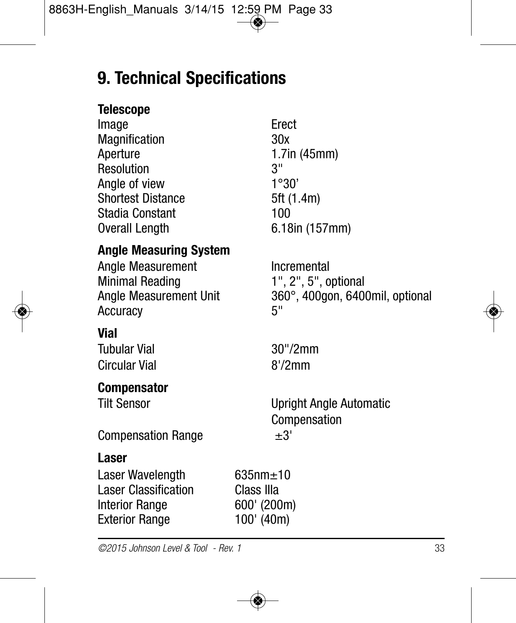### **9. Technical Specifications**

#### **Telescope**

| ımaqe             | <b>Ered</b> |
|-------------------|-------------|
| Magnification     | 30x         |
| Aperture          | 1.7i        |
| Resolution        | 3"          |
| Angle of view     | 1°3         |
| Shortest Distance | 5ft(        |
| Stadia Constant   | 100         |
| Overall Length    | 6.18        |
|                   |             |

## Erect<br>30x  $1.7$ in (45mm)  $1°30'$ 5ft (1.4m) 6.18in (157mm)

#### **Angle Measuring System**

Angle Measurement **Incremental** Minimal Reading 1", 2", 5", optional<br>Anale Measurement Unit 360°, 400gon, 640 Accuracy 5"

#### **Vial**

Tubular Vial 30"/2mm Circular Vial 8'/2mm

#### **Compensator**

360°, 400gon, 6400mil, optional

Tilt Sensor Upright Angle Automatic Compensation

Compensation Range  $±3'$ 

#### **Laser**

Laser Wavelength 635nm±10<br>Laser Classification Class Illa **Laser Classification** Interior Range 600' (200m) Exterior Range 100' (40m)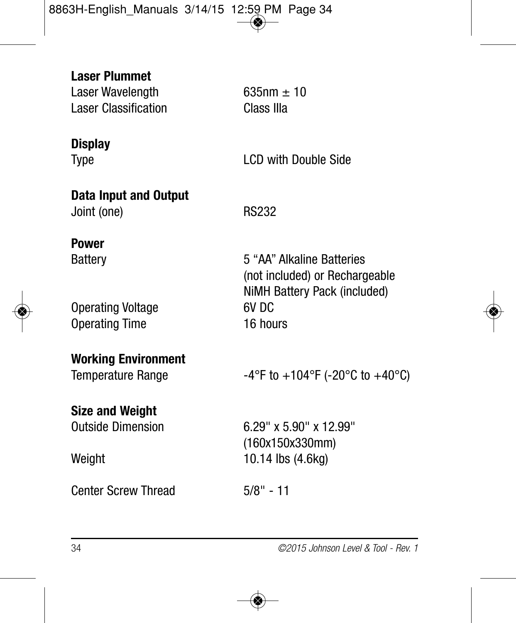**Laser Plummet**  Laser Wavelength 635nm  $\pm$  10 Laser Classification Class IIIa

**Display**

Type **LCD** with Double Side

**Data Input and Output** Joint (one) RS232

**Power**

Operating Voltage 6V DC Operating Time 16 hours

Battery **6 Exercise Exercise S** "AA" Alkaline Batteries (not included) or Rechargeable NiMH Battery Pack (included)

**Working Environment**

**Size and Weight**

Center Screw Thread 5/8" - 11

Temperature Range  $-4^{\circ}$ F to  $+104^{\circ}$ F (-20 $^{\circ}$ C to  $+40^{\circ}$ C)

Outside Dimension 6.29" x 5.90" x 12.99" (160x150x330mm) Weight 10.14 lbs (4.6kg)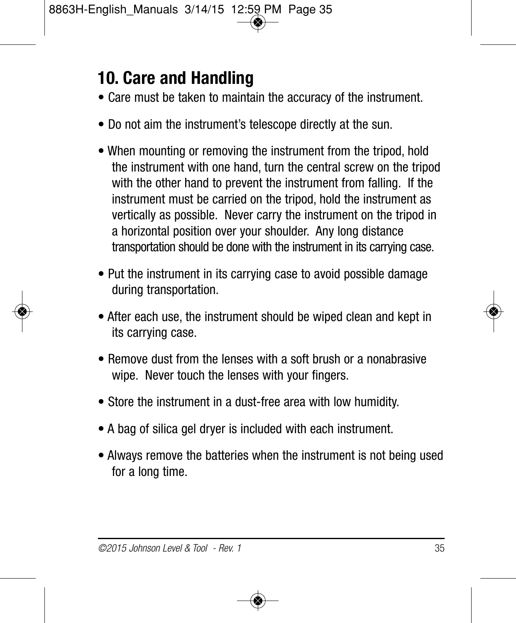### **10. Care and Handling**

- Care must be taken to maintain the accuracy of the instrument.
- Do not aim the instrument's telescope directly at the sun.
- When mounting or removing the instrument from the tripod, hold the instrument with one hand, turn the central screw on the tripod with the other hand to prevent the instrument from falling. If the instrument must be carried on the tripod, hold the instrument as vertically as possible. Never carry the instrument on the tripod in a horizontal position over your shoulder. Any long distance transportation should be done with the instrument in its carrying case.
- Put the instrument in its carrying case to avoid possible damage during transportation.
- After each use, the instrument should be wiped clean and kept in its carrying case.
- Remove dust from the lenses with a soft brush or a nonabrasive wipe. Never touch the lenses with your fingers.
- Store the instrument in a dust-free area with low humidity.
- A bag of silica gel dryer is included with each instrument.
- Always remove the batteries when the instrument is not being used for a long time.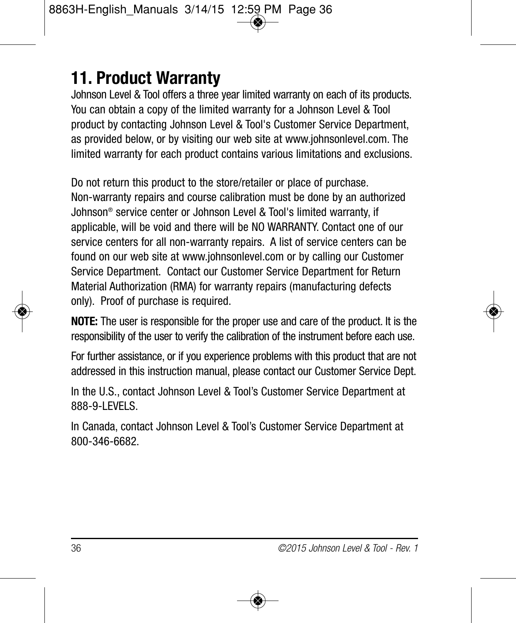### **11. Product Warranty**

Johnson Level & Tool offers a three year limited warranty on each of its products. You can obtain a copy of the limited warranty for a Johnson Level & Tool product by contacting Johnson Level & Tool's Customer Service Department, as provided below, or by visiting our web site at www.johnsonlevel.com. The limited warranty for each product contains various limitations and exclusions.

Do not return this product to the store/retailer or place of purchase. Non-warranty repairs and course calibration must be done by an authorized Johnson® service center or Johnson Level & Tool's limited warranty, if applicable, will be void and there will be NO WARRANTY. Contact one of our service centers for all non-warranty repairs. A list of service centers can be found on our web site at www.johnsonlevel.com or by calling our Customer Service Department. Contact our Customer Service Department for Return Material Authorization (RMA) for warranty repairs (manufacturing defects only). Proof of purchase is required.

**NOTE:** The user is responsible for the proper use and care of the product. It is the responsibility of the user to verify the calibration of the instrument before each use.

For further assistance, or if you experience problems with this product that are not addressed in this instruction manual, please contact our Customer Service Dept.

In the U.S., contact Johnson Level & Tool's Customer Service Department at 888-9-LEVELS.

In Canada, contact Johnson Level & Tool's Customer Service Department at 800-346-6682.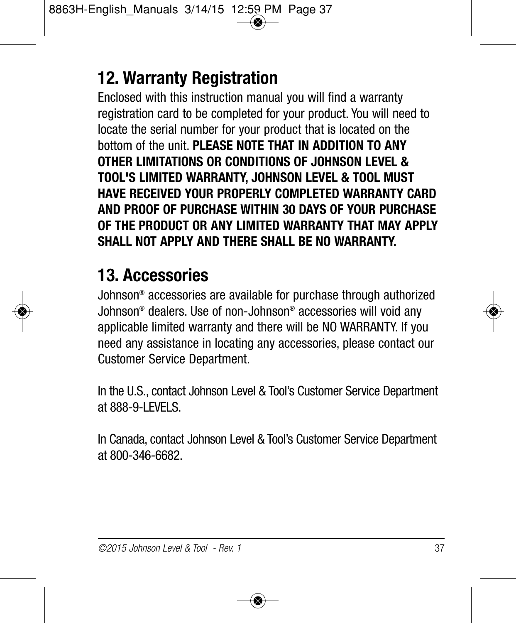### **12. Warranty Registration**

Enclosed with this instruction manual you will find a warranty registration card to be completed for your product. You will need to locate the serial number for your product that is located on the bottom of the unit. **PLEASE NOTE THAT IN ADDITION TO ANY OTHER LIMITATIONS OR CONDITIONS OF JOHNSON LEVEL & TOOL'S LIMITED WARRANTY, JOHNSON LEVEL & TOOL MUST HAVE RECEIVED YOUR PROPERLY COMPLETED WARRANTY CARD AND PROOF OF PURCHASE WITHIN 30 DAYS OF YOUR PURCHASE OF THE PRODUCT OR ANY LIMITED WARRANTY THAT MAY APPLY SHALL NOT APPLY AND THERE SHALL BE NO WARRANTY.**

### **13. Accessories**

Johnson® accessories are available for purchase through authorized Johnson® dealers. Use of non-Johnson® accessories will void any applicable limited warranty and there will be NO WARRANTY. If you need any assistance in locating any accessories, please contact our Customer Service Department.

In the U.S., contact Johnson Level & Tool's Customer Service Department at 888-9-LEVELS.

In Canada, contact Johnson Level & Tool's Customer Service Department at 800-346-6682.